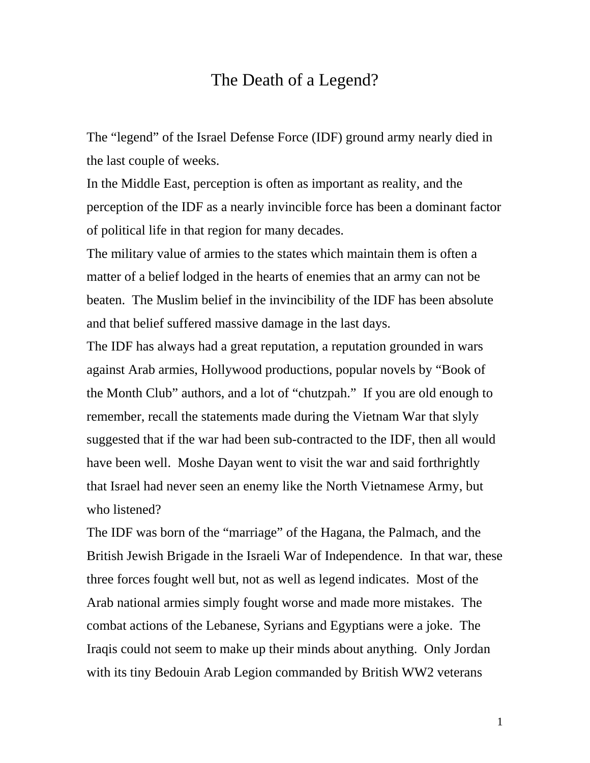## The Death of a Legend?

The "legend" of the Israel Defense Force (IDF) ground army nearly died in the last couple of weeks.

In the Middle East, perception is often as important as reality, and the perception of the IDF as a nearly invincible force has been a dominant factor of political life in that region for many decades.

The military value of armies to the states which maintain them is often a matter of a belief lodged in the hearts of enemies that an army can not be beaten. The Muslim belief in the invincibility of the IDF has been absolute and that belief suffered massive damage in the last days.

The IDF has always had a great reputation, a reputation grounded in wars against Arab armies, Hollywood productions, popular novels by "Book of the Month Club" authors, and a lot of "chutzpah." If you are old enough to remember, recall the statements made during the Vietnam War that slyly suggested that if the war had been sub-contracted to the IDF, then all would have been well. Moshe Dayan went to visit the war and said forthrightly that Israel had never seen an enemy like the North Vietnamese Army, but who listened?

The IDF was born of the "marriage" of the Hagana, the Palmach, and the British Jewish Brigade in the Israeli War of Independence. In that war, these three forces fought well but, not as well as legend indicates. Most of the Arab national armies simply fought worse and made more mistakes. The combat actions of the Lebanese, Syrians and Egyptians were a joke. The Iraqis could not seem to make up their minds about anything. Only Jordan with its tiny Bedouin Arab Legion commanded by British WW2 veterans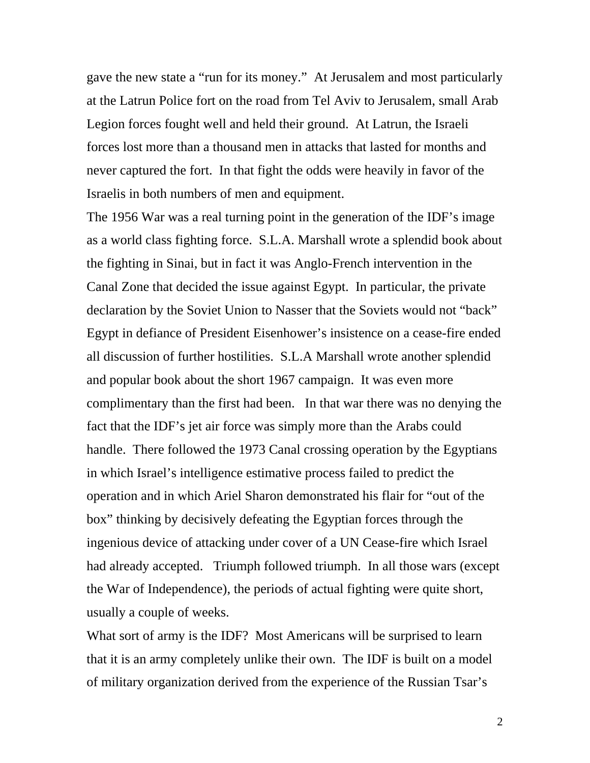gave the new state a "run for its money." At Jerusalem and most particularly at the Latrun Police fort on the road from Tel Aviv to Jerusalem, small Arab Legion forces fought well and held their ground. At Latrun, the Israeli forces lost more than a thousand men in attacks that lasted for months and never captured the fort. In that fight the odds were heavily in favor of the Israelis in both numbers of men and equipment.

The 1956 War was a real turning point in the generation of the IDF's image as a world class fighting force. S.L.A. Marshall wrote a splendid book about the fighting in Sinai, but in fact it was Anglo-French intervention in the Canal Zone that decided the issue against Egypt. In particular, the private declaration by the Soviet Union to Nasser that the Soviets would not "back" Egypt in defiance of President Eisenhower's insistence on a cease-fire ended all discussion of further hostilities. S.L.A Marshall wrote another splendid and popular book about the short 1967 campaign. It was even more complimentary than the first had been. In that war there was no denying the fact that the IDF's jet air force was simply more than the Arabs could handle. There followed the 1973 Canal crossing operation by the Egyptians in which Israel's intelligence estimative process failed to predict the operation and in which Ariel Sharon demonstrated his flair for "out of the box" thinking by decisively defeating the Egyptian forces through the ingenious device of attacking under cover of a UN Cease-fire which Israel had already accepted. Triumph followed triumph. In all those wars (except the War of Independence), the periods of actual fighting were quite short, usually a couple of weeks.

What sort of army is the IDF? Most Americans will be surprised to learn that it is an army completely unlike their own. The IDF is built on a model of military organization derived from the experience of the Russian Tsar's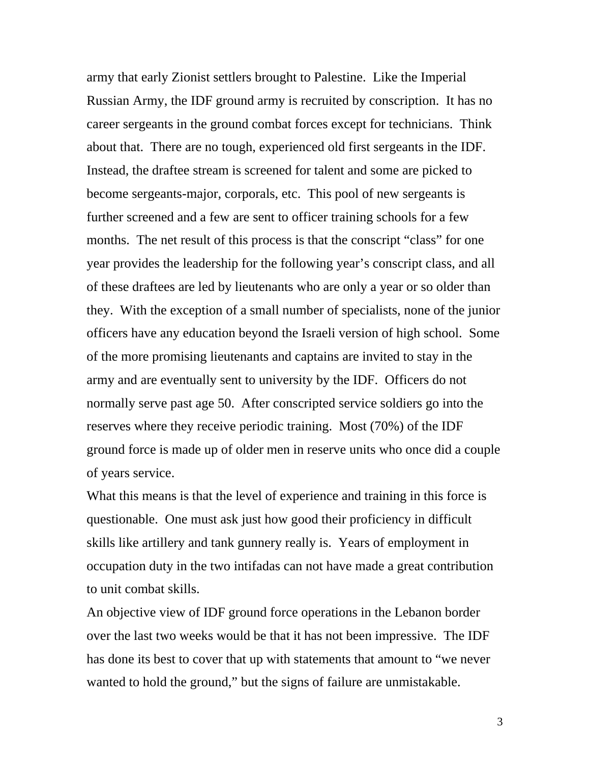army that early Zionist settlers brought to Palestine. Like the Imperial Russian Army, the IDF ground army is recruited by conscription. It has no career sergeants in the ground combat forces except for technicians. Think about that. There are no tough, experienced old first sergeants in the IDF. Instead, the draftee stream is screened for talent and some are picked to become sergeants-major, corporals, etc. This pool of new sergeants is further screened and a few are sent to officer training schools for a few months. The net result of this process is that the conscript "class" for one year provides the leadership for the following year's conscript class, and all of these draftees are led by lieutenants who are only a year or so older than they. With the exception of a small number of specialists, none of the junior officers have any education beyond the Israeli version of high school. Some of the more promising lieutenants and captains are invited to stay in the army and are eventually sent to university by the IDF. Officers do not normally serve past age 50. After conscripted service soldiers go into the reserves where they receive periodic training. Most (70%) of the IDF ground force is made up of older men in reserve units who once did a couple of years service.

What this means is that the level of experience and training in this force is questionable. One must ask just how good their proficiency in difficult skills like artillery and tank gunnery really is. Years of employment in occupation duty in the two intifadas can not have made a great contribution to unit combat skills.

An objective view of IDF ground force operations in the Lebanon border over the last two weeks would be that it has not been impressive. The IDF has done its best to cover that up with statements that amount to "we never wanted to hold the ground," but the signs of failure are unmistakable.

3